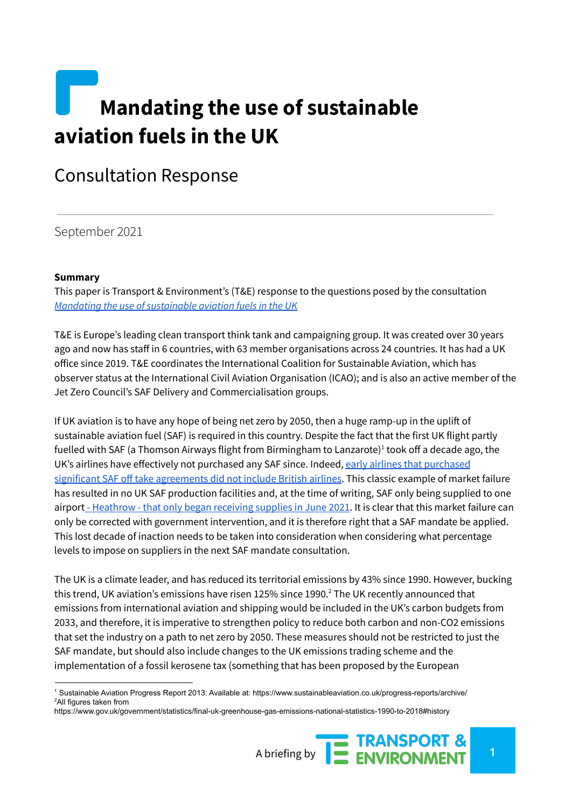# **Mandating the use of sustainable aviation fuels in the UK**

# Consultation Response

September 2021

#### **Summary**

This paper is Transport & Environment's (T&E) response to the questions posed by the consultation *Mandating the use of [sustainable](https://www.gov.uk/government/consultations/mandating-the-use-of-sustainable-aviation-fuels-in-the-uk) aviation fuels in the UK*

T&E is Europe's leading clean transport think tank and campaigning group. It was created over 30 years ago and now has staff in 6 countries, with 63 member organisations across 24 countries. It has had a UK office since 2019. T&E coordinates the International Coalition for Sustainable Aviation, which has observer status at the International Civil Aviation Organisation (ICAO); and is also an active member of the Jet Zero Council's SAF Delivery and Commercialisation groups.

If UK aviation is to have any hope of being net zero by 2050, then a huge ramp-up in the uplift of sustainable aviation fuel (SAF) is required in this country. Despite the fact that the first UK flight partly fuelled with SAF (a Thomson Airways flight from Birmingham to Lanzarote) $^1$  took off a decade ago, the UK's airlines have effectively not [purchased](https://www.sustainableaviation.co.uk/wp-content/uploads/2020/02/SustainableAviation_FuelReport_20200231.pdf) any SAF since. Indeed, early airlines that purchased significant SAF off take [agreements](https://www.sustainableaviation.co.uk/wp-content/uploads/2020/02/SustainableAviation_FuelReport_20200231.pdf) did not include British airlines. This classic example of market failure has resulted in no UK SAF production facilities and, at the time of writing, SAF only being supplied to one airport - [Heathrow](https://www.spglobal.com/platts/en/market-insights/latest-news/electric-power/060321-uks-heathrow-airport-starts-supplying-saf-calls-on-govt-to-take-more-steps) - that only began receiving supplies in June 2021. It is clear that this market failure can only be corrected with government intervention, and it is therefore right that a SAF mandate be applied. This lost decade of inaction needs to be taken into consideration when considering what percentage levels to impose on suppliers in the next SAF mandate consultation.

The UK is a climate leader, and has reduced its territorial emissions by 43% since 1990. However, bucking this trend, UK aviation's emissions have risen 125% since 1990. $^2$  The UK recently announced that emissions from international aviation and shipping would be included in the UK's carbon budgets from 2033, and therefore, it is imperative to strengthen policy to reduce both carbon and non-CO2 emissions that set the industry on a path to net zero by 2050. These measures should not be restricted to just the SAF mandate, but should also include changes to the UK emissions trading scheme and the implementation of a fossil kerosene tax (something that has been proposed by the European

<sup>2</sup>All figures taken from <sup>1</sup> Sustainable Aviation Progress Report 2013: Available at: https://www.sustainableaviation.co.uk/progress-reports/archive/

https://www.gov.uk/government/statistics/final-uk-greenhouse-gas-emissions-national-statistics-1990-to-2018#history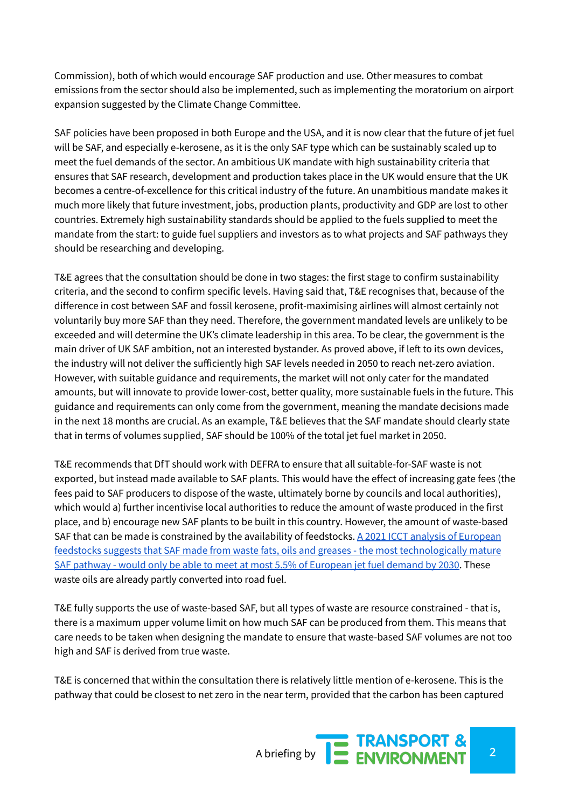Commission), both of which would encourage SAF production and use. Other measures to combat emissions from the sector should also be implemented, such as implementing the moratorium on airport expansion suggested by the Climate Change Committee.

SAF policies have been proposed in both Europe and the USA, and it is now clear that the future of jet fuel will be SAF, and especially e-kerosene, as it is the only SAF type which can be sustainably scaled up to meet the fuel demands of the sector. An ambitious UK mandate with high sustainability criteria that ensures that SAF research, development and production takes place in the UK would ensure that the UK becomes a centre-of-excellence for this critical industry of the future. An unambitious mandate makes it much more likely that future investment, jobs, production plants, productivity and GDP are lost to other countries. Extremely high sustainability standards should be applied to the fuels supplied to meet the mandate from the start: to guide fuel suppliers and investors as to what projects and SAF pathways they should be researching and developing.

T&E agrees that the consultation should be done in two stages: the first stage to confirm sustainability criteria, and the second to confirm specific levels. Having said that, T&E recognises that, because of the difference in cost between SAF and fossil kerosene, profit-maximising airlines will almost certainly not voluntarily buy more SAF than they need. Therefore, the government mandated levels are unlikely to be exceeded and will determine the UK's climate leadership in this area. To be clear, the government is the main driver of UK SAF ambition, not an interested bystander. As proved above, if left to its own devices, the industry will not deliver the sufficiently high SAF levels needed in 2050 to reach net-zero aviation. However, with suitable guidance and requirements, the market will not only cater for the mandated amounts, but will innovate to provide lower-cost, better quality, more sustainable fuels in the future. This guidance and requirements can only come from the government, meaning the mandate decisions made in the next 18 months are crucial. As an example, T&E believes that the SAF mandate should clearly state that in terms of volumes supplied, SAF should be 100% of the total jet fuel market in 2050.

T&E recommends that DfT should work with DEFRA to ensure that all suitable-for-SAF waste is not exported, but instead made available to SAF plants. This would have the effect of increasing gate fees (the fees paid to SAF producers to dispose of the waste, ultimately borne by councils and local authorities), which would a) further incentivise local authorities to reduce the amount of waste produced in the first place, and b) encourage new SAF plants to be built in this country. However, the amount of waste-based SAF that can be made is constrained by the availability of feedstocks. A 2021 ICCT analysis of [European](https://theicct.org/publications/sustainable-aviation-fuel-feedstock-eu-mar2021) feedstocks suggests that SAF made from waste fats, oils and greases - the most [technologically](https://theicct.org/publications/sustainable-aviation-fuel-feedstock-eu-mar2021) mature SAF pathway - would only be able to meet at most 5.5% of [European](https://theicct.org/publications/sustainable-aviation-fuel-feedstock-eu-mar2021) jet fuel demand by 2030. These waste oils are already partly converted into road fuel.

T&E fully supports the use of waste-based SAF, but all types of waste are resource constrained - that is, there is a maximum upper volume limit on how much SAF can be produced from them. This means that care needs to be taken when designing the mandate to ensure that waste-based SAF volumes are not too high and SAF is derived from true waste.

T&E is concerned that within the consultation there is relatively little mention of e-kerosene. This is the pathway that could be closest to net zero in the near term, provided that the carbon has been captured

A briefing by **2 ENVIRONMENT**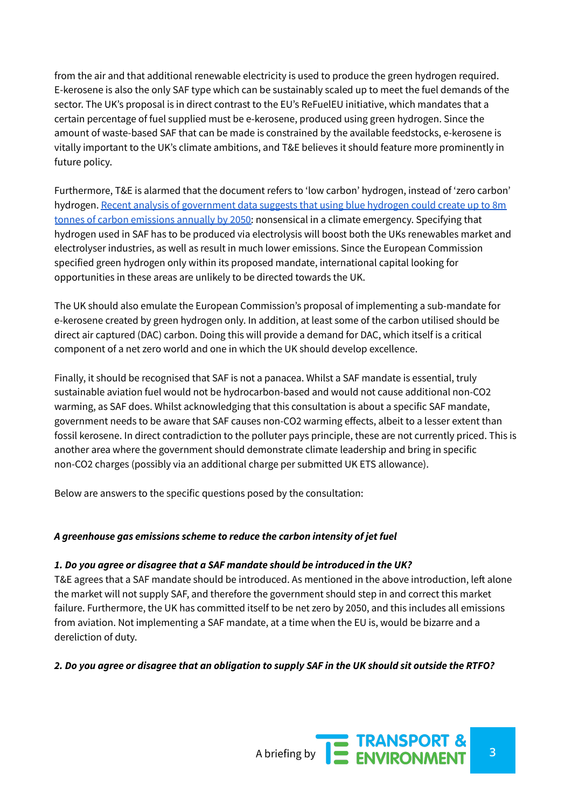from the air and that additional renewable electricity is used to produce the green hydrogen required. E-kerosene is also the only SAF type which can be sustainably scaled up to meet the fuel demands of the sector. The UK's proposal is in direct contrast to the EU's ReFuelEU initiative, which mandates that a certain percentage of fuel supplied must be e-kerosene, produced using green hydrogen. Since the amount of waste-based SAF that can be made is constrained by the available feedstocks, e-kerosene is vitally important to the UK's climate ambitions, and T&E believes it should feature more prominently in future policy.

Furthermore, T&E is alarmed that the document refers to 'low carbon' hydrogen, instead of 'zero carbon' hydrogen. Recent analysis of [government](https://www.theguardian.com/environment/2021/aug/22/uk-switch-to-hydrogen-power-must-not-rely-on-fossil-fuels-warn-campaigners) data suggests that using blue hydrogen could create up to 8m tonnes of carbon [emissions](https://www.theguardian.com/environment/2021/aug/22/uk-switch-to-hydrogen-power-must-not-rely-on-fossil-fuels-warn-campaigners) annually by 2050: nonsensical in a climate emergency. Specifying that hydrogen used in SAF has to be produced via electrolysis will boost both the UKs renewables market and electrolyser industries, as well as result in much lower emissions. Since the European Commission specified green hydrogen only within its proposed mandate, international capital looking for opportunities in these areas are unlikely to be directed towards the UK.

The UK should also emulate the European Commission's proposal of implementing a sub-mandate for e-kerosene created by green hydrogen only. In addition, at least some of the carbon utilised should be direct air captured (DAC) carbon. Doing this will provide a demand for DAC, which itself is a critical component of a net zero world and one in which the UK should develop excellence.

Finally, it should be recognised that SAF is not a panacea. Whilst a SAF mandate is essential, truly sustainable aviation fuel would not be hydrocarbon-based and would not cause additional non-CO2 warming, as SAF does. Whilst acknowledging that this consultation is about a specific SAF mandate, government needs to be aware that SAF causes non-CO2 warming effects, albeit to a lesser extent than fossil kerosene. In direct contradiction to the polluter pays principle, these are not currently priced. This is another area where the government should demonstrate climate leadership and bring in specific non-CO2 charges (possibly via an additional charge per submitted UK ETS allowance).

Below are answers to the specific questions posed by the consultation:

#### *A greenhouse gas emissions scheme to reduce the carbon intensity of jet fuel*

#### *1. Do you agree or disagree that a SAF mandate should be introduced in the UK?*

T&E agrees that a SAF mandate should be introduced. As mentioned in the above introduction, left alone the market will not supply SAF, and therefore the government should step in and correct this market failure. Furthermore, the UK has committed itself to be net zero by 2050, and this includes all emissions from aviation. Not implementing a SAF mandate, at a time when the EU is, would be bizarre and a dereliction of duty.

#### 2. Do you agree or disagree that an obligation to supply SAF in the UK should sit outside the RTFO?

A briefing by **3**<br>A briefing by **3**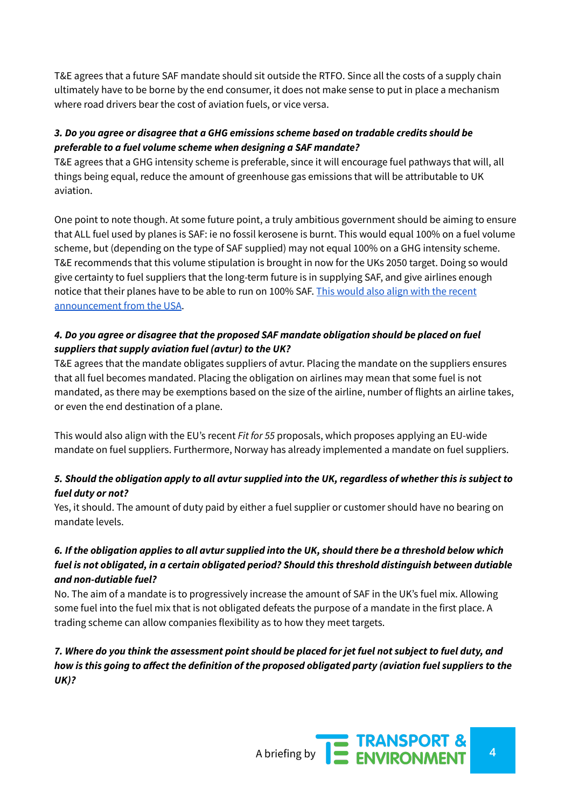T&E agrees that a future SAF mandate should sit outside the RTFO. Since all the costs of a supply chain ultimately have to be borne by the end consumer, it does not make sense to put in place a mechanism where road drivers bear the cost of aviation fuels, or vice versa.

#### *3. Do you agree or disagree that a GHG emissions scheme based on tradable credits should be preferable to a fuel volume scheme when designing a SAF mandate?*

T&E agrees that a GHG intensity scheme is preferable, since it will encourage fuel pathways that will, all things being equal, reduce the amount of greenhouse gas emissions that will be attributable to UK aviation.

One point to note though. At some future point, a truly ambitious government should be aiming to ensure that ALL fuel used by planes is SAF: ie no fossil kerosene is burnt. This would equal 100% on a fuel volume scheme, but (depending on the type of SAF supplied) may not equal 100% on a GHG intensity scheme. T&E recommends that this volume stipulation is brought in now for the UKs 2050 target. Doing so would give certainty to fuel suppliers that the long-term future is in supplying SAF, and give airlines enough notice that their planes have to be able to run on 100% SAF. This would also align with the [recent](https://www.whitehouse.gov/briefing-room/statements-releases/2021/09/09/fact-sheet-biden-administration-advances-the-future-of-sustainable-fuels-in-american-aviation/?) [announcement](https://www.whitehouse.gov/briefing-room/statements-releases/2021/09/09/fact-sheet-biden-administration-advances-the-future-of-sustainable-fuels-in-american-aviation/?) from the USA.

#### *4. Do you agree or disagree that the proposed SAF mandate obligation should be placed on fuel suppliers that supply aviation fuel (avtur) to the UK?*

T&E agrees that the mandate obligates suppliers of avtur. Placing the mandate on the suppliers ensures that all fuel becomes mandated. Placing the obligation on airlines may mean that some fuel is not mandated, as there may be exemptions based on the size of the airline, number of flights an airline takes, or even the end destination of a plane.

This would also align with the EU's recent *Fit for 55* proposals, which proposes applying an EU-wide mandate on fuel suppliers. Furthermore, Norway has already implemented a mandate on fuel suppliers.

#### 5. Should the obligation apply to all avtur supplied into the UK, regardless of whether this is subject to *fuel duty or not?*

Yes, it should. The amount of duty paid by either a fuel supplier or customer should have no bearing on mandate levels.

#### 6. If the obligation applies to all avtur supplied into the UK, should there be a threshold below which *fuel is not obligated, in a certain obligated period? Should this threshold distinguish between dutiable and non-dutiable fuel?*

No. The aim of a mandate is to progressively increase the amount of SAF in the UK's fuel mix. Allowing some fuel into the fuel mix that is not obligated defeats the purpose of a mandate in the first place. A trading scheme can allow companies flexibility as to how they meet targets.

#### 7. Where do you think the assessment point should be placed for jet fuel not subject to fuel duty, and how is this going to affect the definition of the proposed obligated party (aviation fuel suppliers to the *UK)?*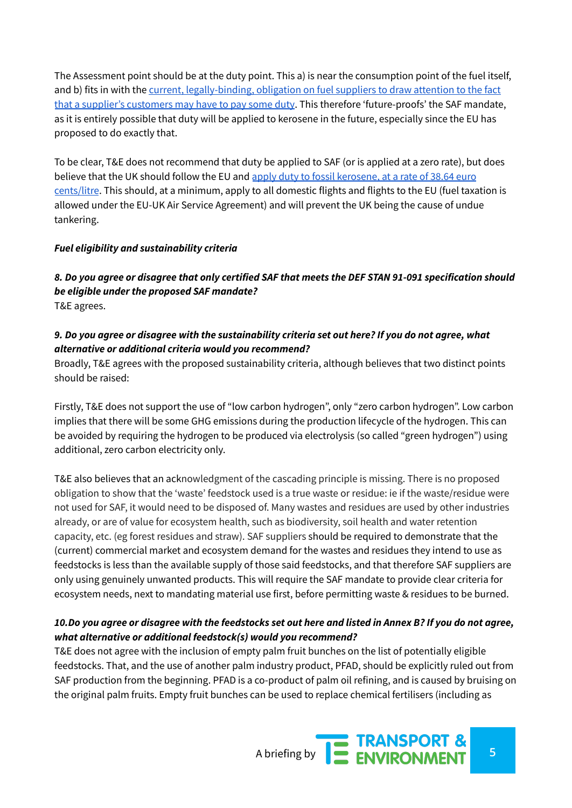The Assessment point should be at the duty point. This a) is near the consumption point of the fuel itself, and b) fits in with the current, [legally-binding,](https://www.gov.uk/government/publications/excise-notice-554-fuel-used-in-private-pleasure-craft-and-for-private-pleasure-flying/excise-notice-554-fuel-used-in-private-pleasure-craft-and-for-private-pleasure-flying#private-pleasure-flying) obligation on fuel suppliers to draw attention to the fact that a supplier's [customers](https://www.gov.uk/government/publications/excise-notice-554-fuel-used-in-private-pleasure-craft-and-for-private-pleasure-flying/excise-notice-554-fuel-used-in-private-pleasure-craft-and-for-private-pleasure-flying#private-pleasure-flying) may have to pay some duty. This therefore 'future-proofs' the SAF mandate, as it is entirely possible that duty will be applied to kerosene in the future, especially since the EU has proposed to do exactly that.

To be clear, T&E does not recommend that duty be applied to SAF (or is applied at a zero rate), but does believe that the UK should follow the EU and apply duty to fossil [kerosene,](https://www.spglobal.com/platts/en/market-insights/blogs/energy-transition/071921-air-travel-decarbonization-jet-fuel-eu-duty-ticket-prices) at a rate of 38.64 euro [cents/litre](https://www.spglobal.com/platts/en/market-insights/blogs/energy-transition/071921-air-travel-decarbonization-jet-fuel-eu-duty-ticket-prices). This should, at a minimum, apply to all domestic flights and flights to the EU (fuel taxation is allowed under the EU-UK Air Service Agreement) and will prevent the UK being the cause of undue tankering.

#### *Fuel eligibility and sustainability criteria*

8. Do you agree or disagree that only certified SAF that meets the DEF STAN 91-091 specification should *be eligible under the proposed SAF mandate?* T&E agrees.

#### 9. Do you agree or disagree with the sustainability criteria set out here? If you do not agree, what *alternative or additional criteria would you recommend?*

Broadly, T&E agrees with the proposed sustainability criteria, although believes that two distinct points should be raised:

Firstly, T&E does not support the use of "low carbon hydrogen", only "zero carbon hydrogen". Low carbon implies that there will be some GHG emissions during the production lifecycle of the hydrogen. This can be avoided by requiring the hydrogen to be produced via electrolysis (so called "green hydrogen") using additional, zero carbon electricity only.

T&E also believes that an acknowledgment of the cascading principle is missing. There is no proposed obligation to show that the 'waste' feedstock used is a true waste or residue: ie if the waste/residue were not used for SAF, it would need to be disposed of. Many wastes and residues are used by other industries already, or are of value for ecosystem health, such as biodiversity, soil health and water retention capacity, etc. (eg forest residues and straw). SAF suppliers should be required to demonstrate that the (current) commercial market and ecosystem demand for the wastes and residues they intend to use as feedstocks is less than the available supply of those said feedstocks, and that therefore SAF suppliers are only using genuinely unwanted products. This will require the SAF mandate to provide clear criteria for ecosystem needs, next to mandating material use first, before permitting waste & residues to be burned.

#### 10. Do you agree or disagree with the feedstocks set out here and listed in Annex B? If you do not agree, *what alternative or additional feedstock(s) would you recommend?*

T&E does not agree with the inclusion of empty palm fruit bunches on the list of potentially eligible feedstocks. That, and the use of another palm industry product, PFAD, should be explicitly ruled out from SAF production from the beginning. PFAD is a co-product of palm oil refining, and is caused by bruising on the original palm fruits. Empty fruit bunches can be used to replace chemical fertilisers (including as

A briefing by **5ENVIRONMENT**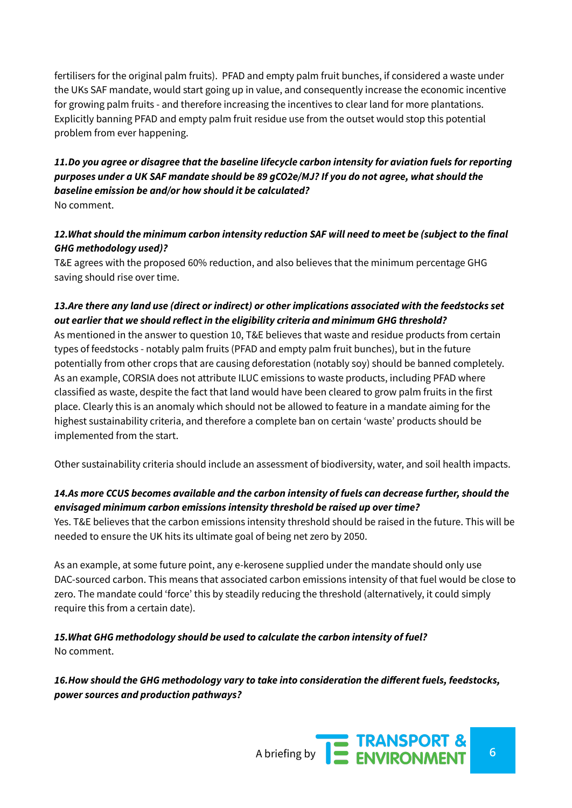fertilisers for the original palm fruits). PFAD and empty palm fruit bunches, if considered a waste under the UKs SAF mandate, would start going up in value, and consequently increase the economic incentive for growing palm fruits - and therefore increasing the incentives to clear land for more plantations. Explicitly banning PFAD and empty palm fruit residue use from the outset would stop this potential problem from ever happening.

# *11.Do you agree or disagree that the baseline lifecycle carbon intensity for aviation fuels for reporting purposes under a UK SAF mandate should be 89 gCO2e/MJ? If you do not agree, what should the baseline emission be and/or how should it be calculated?*

No comment.

#### *12.What should the minimum carbon intensity reduction SAF will need to meet be (subject to the final GHG methodology used)?*

T&E agrees with the proposed 60% reduction, and also believes that the minimum percentage GHG saving should rise over time.

## *13.Are there any land use (direct or indirect) or other implications associated with the feedstocks set out earlier that we should reflect in the eligibility criteria and minimum GHG threshold?*

As mentioned in the answer to question 10, T&E believes that waste and residue products from certain types of feedstocks - notably palm fruits (PFAD and empty palm fruit bunches), but in the future potentially from other crops that are causing deforestation (notably soy) should be banned completely. As an example, CORSIA does not attribute ILUC emissions to waste products, including PFAD where classified as waste, despite the fact that land would have been cleared to grow palm fruits in the first place. Clearly this is an anomaly which should not be allowed to feature in a mandate aiming for the highest sustainability criteria, and therefore a complete ban on certain 'waste' products should be implemented from the start.

Other sustainability criteria should include an assessment of biodiversity, water, and soil health impacts.

## *14.As more CCUS becomes available and the carbon intensity of fuels can decrease further, should the envisaged minimum carbon emissions intensity threshold be raised up over time?*

Yes. T&E believes that the carbon emissions intensity threshold should be raised in the future. This will be needed to ensure the UK hits its ultimate goal of being net zero by 2050.

As an example, at some future point, any e-kerosene supplied under the mandate should only use DAC-sourced carbon. This means that associated carbon emissions intensity of that fuel would be close to zero. The mandate could 'force' this by steadily reducing the threshold (alternatively, it could simply require this from a certain date).

*15.What GHG methodology should be used to calculate the carbon intensity of fuel?* No comment.

*16.How should the GHG methodology vary to take into consideration the different fuels, feedstocks, power sources and production pathways?*

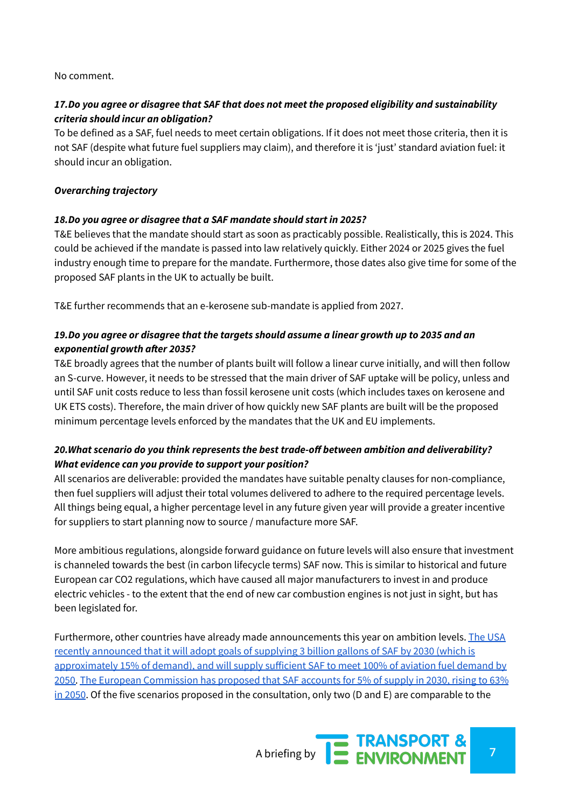#### No comment.

#### *17.Do you agree or disagree that SAF that does not meet the proposed eligibility and sustainability criteria should incur an obligation?*

To be defined as a SAF, fuel needs to meet certain obligations. If it does not meet those criteria, then it is not SAF (despite what future fuel suppliers may claim), and therefore it is 'just' standard aviation fuel: it should incur an obligation.

#### *Overarching trajectory*

#### *18.Do you agree or disagree that a SAF mandate should start in 2025?*

T&E believes that the mandate should start as soon as practicably possible. Realistically, this is 2024. This could be achieved if the mandate is passed into law relatively quickly. Either 2024 or 2025 gives the fuel industry enough time to prepare for the mandate. Furthermore, those dates also give time for some of the proposed SAF plants in the UK to actually be built.

T&E further recommends that an e-kerosene sub-mandate is applied from 2027.

#### *19.Do you agree or disagree that the targets should assume a linear growth up to 2035 and an exponential growth after 2035?*

T&E broadly agrees that the number of plants built will follow a linear curve initially, and will then follow an S-curve. However, it needs to be stressed that the main driver of SAF uptake will be policy, unless and until SAF unit costs reduce to less than fossil kerosene unit costs (which includes taxes on kerosene and UK ETS costs). Therefore, the main driver of how quickly new SAF plants are built will be the proposed minimum percentage levels enforced by the mandates that the UK and EU implements.

#### *20.What scenario do you think represents the best trade-off between ambition and deliverability? What evidence can you provide to support your position?*

All scenarios are deliverable: provided the mandates have suitable penalty clauses for non-compliance, then fuel suppliers will adjust their total volumes delivered to adhere to the required percentage levels. All things being equal, a higher percentage level in any future given year will provide a greater incentive for suppliers to start planning now to source / manufacture more SAF.

More ambitious regulations, alongside forward guidance on future levels will also ensure that investment is channeled towards the best (in carbon lifecycle terms) SAF now. This is similar to historical and future European car CO2 regulations, which have caused all major manufacturers to invest in and produce electric vehicles - to the extent that the end of new car combustion engines is not just in sight, but has been legislated for.

Furthermore, other countries have already made announcements this year on ambition levels. The [USA](https://www.whitehouse.gov/briefing-room/statements-releases/2021/09/09/fact-sheet-biden-administration-advances-the-future-of-sustainable-fuels-in-american-aviation/) recently [announced](https://www.whitehouse.gov/briefing-room/statements-releases/2021/09/09/fact-sheet-biden-administration-advances-the-future-of-sustainable-fuels-in-american-aviation/) that it will adopt goals of supplying 3 billion gallons of SAF by 2030 (which is [approximately](https://www.whitehouse.gov/briefing-room/statements-releases/2021/09/09/fact-sheet-biden-administration-advances-the-future-of-sustainable-fuels-in-american-aviation/) 15% of demand), and will supply sufficient SAF to meet 100% of aviation fuel demand by [2050.](https://www.whitehouse.gov/briefing-room/statements-releases/2021/09/09/fact-sheet-biden-administration-advances-the-future-of-sustainable-fuels-in-american-aviation/) The European [Commission](https://ec.europa.eu/info/sites/default/files/refueleu_aviation_-_sustainable_aviation_fuels.pdf) has proposed that SAF accounts for 5% of supply in 2030, rising to 63% in [2050](https://ec.europa.eu/info/sites/default/files/refueleu_aviation_-_sustainable_aviation_fuels.pdf). Of the five scenarios proposed in the consultation, only two (D and E) are comparable to the

A briefing by **7 ENVIRONMENT**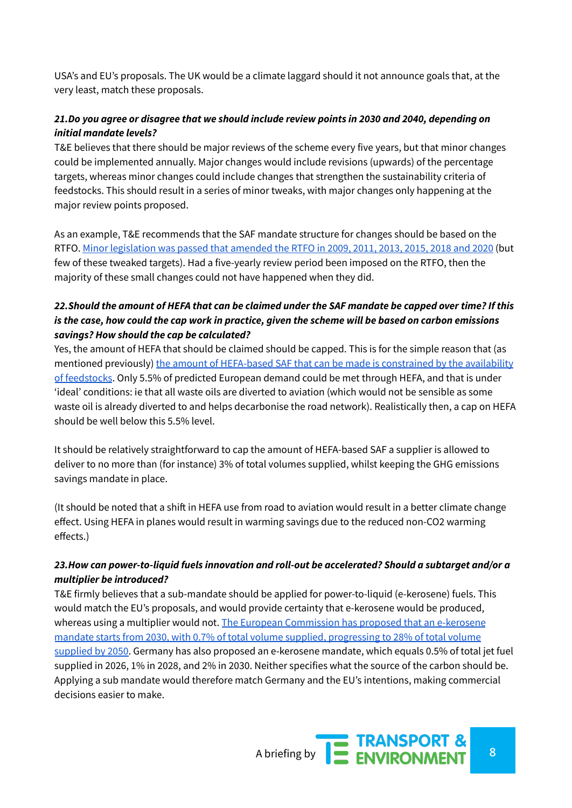USA's and EU's proposals. The UK would be a climate laggard should it not announce goals that, at the very least, match these proposals.

#### *21.Do you agree or disagree that we should include review points in 2030 and 2040, depending on initial mandate levels?*

T&E believes that there should be major reviews of the scheme every five years, but that minor changes could be implemented annually. Major changes would include revisions (upwards) of the percentage targets, whereas minor changes could include changes that strengthen the sustainability criteria of feedstocks. This should result in a series of minor tweaks, with major changes only happening at the major review points proposed.

As an example, T&E recommends that the SAF mandate structure for changes should be based on the RTFO. Minor [legislation](https://www.gov.uk/guidance/renewable-transport-fuels-obligation#rtfo-updates) was passed that amended the RTFO in 2009, 2011, 2013, 2015, 2018 and 2020 (but few of these tweaked targets). Had a five-yearly review period been imposed on the RTFO, then the majority of these small changes could not have happened when they did.

#### 22. Should the amount of HEFA that can be claimed under the SAF mandate be capped over time? If this is the case, how could the cap work in practice, given the scheme will be based on carbon emissions *savings? How should the cap be calculated?*

Yes, the amount of HEFA that should be claimed should be capped. This is for the simple reason that (as mentioned previously) the amount of [HEFA-based](https://theicct.org/publications/sustainable-aviation-fuel-feedstock-eu-mar2021) SAF that can be made is constrained by the availability of [feedstocks](https://theicct.org/publications/sustainable-aviation-fuel-feedstock-eu-mar2021). Only 5.5% of predicted European demand could be met through HEFA, and that is under 'ideal' conditions: ie that all waste oils are diverted to aviation (which would not be sensible as some waste oil is already diverted to and helps decarbonise the road network). Realistically then, a cap on HEFA should be well below this 5.5% level.

It should be relatively straightforward to cap the amount of HEFA-based SAF a supplier is allowed to deliver to no more than (for instance) 3% of total volumes supplied, whilst keeping the GHG emissions savings mandate in place.

(It should be noted that a shift in HEFA use from road to aviation would result in a better climate change effect. Using HEFA in planes would result in warming savings due to the reduced non-CO2 warming effects.)

#### *23.How can power-to-liquid fuels innovation and roll-out be accelerated? Should a subtarget and/or a multiplier be introduced?*

T&E firmly believes that a sub-mandate should be applied for power-to-liquid (e-kerosene) fuels. This would match the EU's proposals, and would provide certainty that e-kerosene would be produced, whereas using a multiplier would not. The European [Commission](https://ec.europa.eu/info/sites/default/files/refueleu_aviation_-_sustainable_aviation_fuels.pdf) has proposed that an e-kerosene mandate starts from 2030, with 0.7% of total volume supplied, [progressing](https://ec.europa.eu/info/sites/default/files/refueleu_aviation_-_sustainable_aviation_fuels.pdf) to 28% of total volume [supplied](https://ec.europa.eu/info/sites/default/files/refueleu_aviation_-_sustainable_aviation_fuels.pdf) by 2050. Germany has also proposed an e-kerosene mandate, which equals 0.5% of total jet fuel supplied in 2026, 1% in 2028, and 2% in 2030. Neither specifies what the source of the carbon should be. Applying a sub mandate would therefore match Germany and the EU's intentions, making commercial decisions easier to make.

A briefing by **8 EXAMPORT &**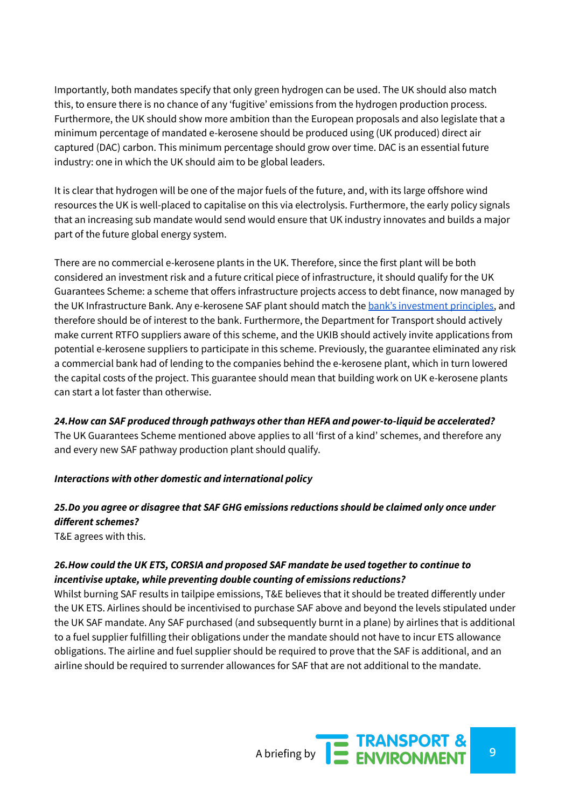Importantly, both mandates specify that only green hydrogen can be used. The UK should also match this, to ensure there is no chance of any 'fugitive' emissions from the hydrogen production process. Furthermore, the UK should show more ambition than the European proposals and also legislate that a minimum percentage of mandated e-kerosene should be produced using (UK produced) direct air captured (DAC) carbon. This minimum percentage should grow over time. DAC is an essential future industry: one in which the UK should aim to be global leaders.

It is clear that hydrogen will be one of the major fuels of the future, and, with its large offshore wind resources the UK is well-placed to capitalise on this via electrolysis. Furthermore, the early policy signals that an increasing sub mandate would send would ensure that UK industry innovates and builds a major part of the future global energy system.

There are no commercial e-kerosene plants in the UK. Therefore, since the first plant will be both considered an investment risk and a future critical piece of infrastructure, it should qualify for the UK Guarantees Scheme: a scheme that offers infrastructure projects access to debt finance, now managed by the UK Infrastructure Bank. Any e-kerosene SAF plant should match the bank's [investment](https://www.ukib.org.uk/where-we-invest) principles, and therefore should be of interest to the bank. Furthermore, the Department for Transport should actively make current RTFO suppliers aware of this scheme, and the UKIB should actively invite applications from potential e-kerosene suppliers to participate in this scheme. Previously, the guarantee eliminated any risk a commercial bank had of lending to the companies behind the e-kerosene plant, which in turn lowered the capital costs of the project. This guarantee should mean that building work on UK e-kerosene plants can start a lot faster than otherwise.

*24.How can SAF produced through pathways other than HEFA and power-to-liquid be accelerated?*

The UK Guarantees Scheme mentioned above applies to all 'first of a kind' schemes, and therefore any and every new SAF pathway production plant should qualify.

#### *Interactions with other domestic and international policy*

# *25.Do you agree or disagree that SAF GHG emissions reductions should be claimed only once under different schemes?*

T&E agrees with this.

#### *26.How could the UK ETS, CORSIA and proposed SAF mandate be used together to continue to incentivise uptake, while preventing double counting of emissions reductions?*

Whilst burning SAF results in tailpipe emissions, T&E believes that it should be treated differently under the UK ETS. Airlines should be incentivised to purchase SAF above and beyond the levels stipulated under the UK SAF mandate. Any SAF purchased (and subsequently burnt in a plane) by airlines that is additional to a fuel supplier fulfilling their obligations under the mandate should not have to incur ETS allowance obligations. The airline and fuel supplier should be required to prove that the SAF is additional, and an airline should be required to surrender allowances for SAF that are not additional to the mandate.

A briefing by **92 ENVIRONMENT**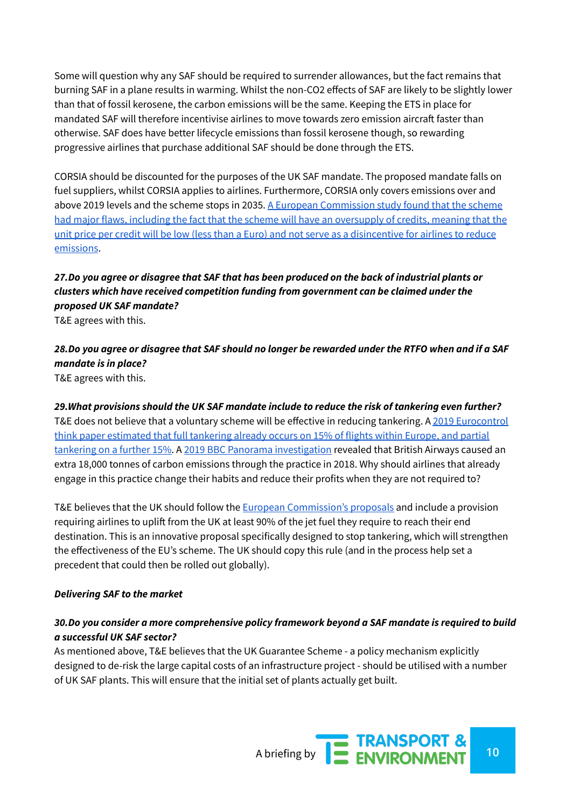Some will question why any SAF should be required to surrender allowances, but the fact remains that burning SAF in a plane results in warming. Whilst the non-CO2 effects of SAF are likely to be slightly lower than that of fossil kerosene, the carbon emissions will be the same. Keeping the ETS in place for mandated SAF will therefore incentivise airlines to move towards zero emission aircraft faster than otherwise. SAF does have better lifecycle emissions than fossil kerosene though, so rewarding progressive airlines that purchase additional SAF should be done through the ETS.

CORSIA should be discounted for the purposes of the UK SAF mandate. The proposed mandate falls on fuel suppliers, whilst CORSIA applies to airlines. Furthermore, CORSIA only covers emissions over and above 2019 levels and the scheme stops in 2035. A European [Commission](https://www.transportenvironment.org/sites/te/files/publications/2021_03_Briefing_Corsia_EU_assessement_2021.pdf) study found that the scheme had major flaws, including the fact that the scheme will have an [oversupply](https://www.transportenvironment.org/sites/te/files/publications/2021_03_Briefing_Corsia_EU_assessement_2021.pdf) of credits, meaning that the unit price per credit will be low (less than a Euro) and not serve as a [disincentive](https://www.transportenvironment.org/sites/te/files/publications/2021_03_Briefing_Corsia_EU_assessement_2021.pdf) for airlines to reduce [emissions](https://www.transportenvironment.org/sites/te/files/publications/2021_03_Briefing_Corsia_EU_assessement_2021.pdf).

## *27.Do you agree or disagree that SAF that has been produced on the back of industrial plants or clusters which have received competition funding from government can be claimed under the proposed UK SAF mandate?*

T&E agrees with this.

# 28. Do you agree or disagree that SAF should no longer be rewarded under the RTFO when and if a SAF *mandate is in place?*

T&E agrees with this.

*29.What provisions should the UK SAF mandate include to reduce the risk of tankering even further?* T&E does not believe that a voluntary scheme will be effective in reducing tankering. A 2019 [Eurocontrol](https://www.eurocontrol.int/publication/fuel-tankering-european-skies-economic-benefits-and-environmental-impact) think paper [estimated](https://www.eurocontrol.int/publication/fuel-tankering-european-skies-economic-benefits-and-environmental-impact) that full tankering already occurs on 15% of flights within Europe, and partial [tankering](https://www.eurocontrol.int/publication/fuel-tankering-european-skies-economic-benefits-and-environmental-impact) on a further 15%. A 2019 BBC Panorama [investigation](https://www.bbc.com/news/science-environment-50365362) revealed that British Airways caused an extra 18,000 tonnes of carbon emissions through the practice in 2018. Why should airlines that already engage in this practice change their habits and reduce their profits when they are not required to?

T&E believes that the UK should follow the European [Commission's](https://ec.europa.eu/info/sites/default/files/refueleu_aviation_-_sustainable_aviation_fuels.pdf) proposals and include a provision requiring airlines to uplift from the UK at least 90% of the jet fuel they require to reach their end destination. This is an innovative proposal specifically designed to stop tankering, which will strengthen the effectiveness of the EU's scheme. The UK should copy this rule (and in the process help set a precedent that could then be rolled out globally).

#### *Delivering SAF to the market*

#### *30.Do you consider a more comprehensive policy framework beyond a SAF mandate is required to build a successful UK SAF sector?*

As mentioned above, T&E believes that the UK Guarantee Scheme - a policy mechanism explicitly designed to de-risk the large capital costs of an infrastructure project - should be utilised with a number of UK SAF plants. This will ensure that the initial set of plants actually get built.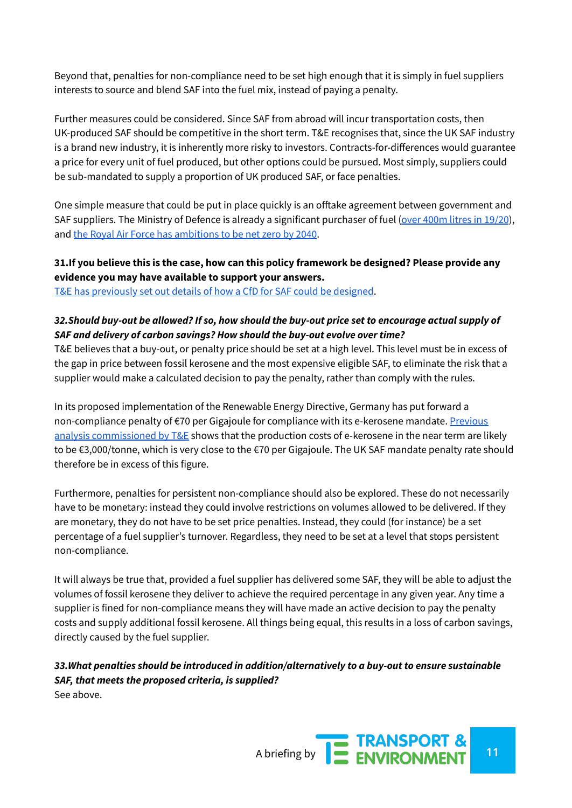Beyond that, penalties for non-compliance need to be set high enough that it is simply in fuel suppliers interests to source and blend SAF into the fuel mix, instead of paying a penalty.

Further measures could be considered. Since SAF from abroad will incur transportation costs, then UK-produced SAF should be competitive in the short term. T&E recognises that, since the UK SAF industry is a brand new industry, it is inherently more risky to investors. Contracts-for-differences would guarantee a price for every unit of fuel produced, but other options could be pursued. Most simply, suppliers could be sub-mandated to supply a proportion of UK produced SAF, or face penalties.

One simple measure that could be put in place quickly is an offtake agreement between government and SAF suppliers. The Ministry of Defence is already a significant purchaser of fuel (over [400m](https://stratcommand.blog.gov.uk/2020/10/16/aircraft-algae-and-alcohol/) litres in 19/20), and the Royal Air Force has [ambitions](https://www.forces.net/news/future-raf-service-chief-makes-predictions-year-2040) to be net zero by 2040.

#### **31.If you believe this is the case, how can this policy framework be designed? Please provide any evidence you may have available to support your answers.**

T&E has [previously](https://www.transportenvironment.org/publications/targeting-net-zero-next-steps-renewable-transport-fuels-obligation) set out details of how a CfD for SAF could be designed.

#### *32.Should buy-out be allowed? If so, how should the buy-out price set to encourage actual supply of SAF and delivery of carbon savings? How should the buy-out evolve over time?*

T&E believes that a buy-out, or penalty price should be set at a high level. This level must be in excess of the gap in price between fossil kerosene and the most expensive eligible SAF, to eliminate the risk that a supplier would make a calculated decision to pay the penalty, rather than comply with the rules.

In its proposed implementation of the Renewable Energy Directive, Germany has put forward a non-compliance penalty of €70 per Gigajoule for compliance with its e-kerosene mandate. [Previous](https://www.transportenvironment.org/sites/te/files/publications/2017_11_Cerulogy_study_What_role_electrofuels_final_0.pdf) analysis [commissioned](https://www.transportenvironment.org/sites/te/files/publications/2017_11_Cerulogy_study_What_role_electrofuels_final_0.pdf) by T&E shows that the production costs of e-kerosene in the near term are likely to be €3,000/tonne, which is very close to the €70 per Gigajoule. The UK SAF mandate penalty rate should therefore be in excess of this figure.

Furthermore, penalties for persistent non-compliance should also be explored. These do not necessarily have to be monetary: instead they could involve restrictions on volumes allowed to be delivered. If they are monetary, they do not have to be set price penalties. Instead, they could (for instance) be a set percentage of a fuel supplier's turnover. Regardless, they need to be set at a level that stops persistent non-compliance.

It will always be true that, provided a fuel supplier has delivered some SAF, they will be able to adjust the volumes of fossil kerosene they deliver to achieve the required percentage in any given year. Any time a supplier is fined for non-compliance means they will have made an active decision to pay the penalty costs and supply additional fossil kerosene. All things being equal, this results in a loss of carbon savings, directly caused by the fuel supplier.

*33.What penalties should be introduced in addition/alternatively to a buy-out to ensure sustainable SAF, that meets the proposed criteria, is supplied?* See above.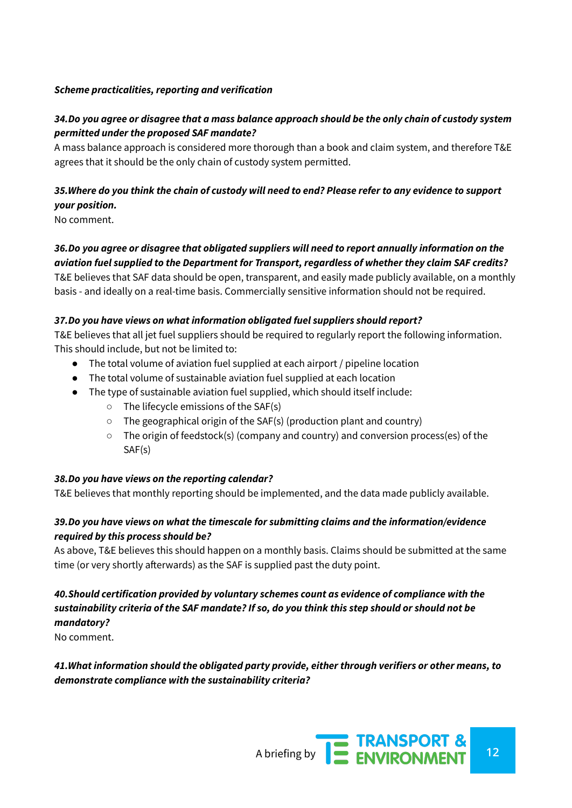#### *Scheme practicalities, reporting and verification*

#### 34.Do you agree or disagree that a mass balance approach should be the only chain of custody system *permitted under the proposed SAF mandate?*

A mass balance approach is considered more thorough than a book and claim system, and therefore T&E agrees that it should be the only chain of custody system permitted.

# 35. Where do you think the chain of custody will need to end? Please refer to any evidence to support *your position.*

No comment.

## *36.Do you agree or disagree that obligated suppliers will need to report annually information on the aviation fuel supplied to the Department for Transport, regardless of whether they claim SAF credits?*

T&E believes that SAF data should be open, transparent, and easily made publicly available, on a monthly basis - and ideally on a real-time basis. Commercially sensitive information should not be required.

#### *37.Do you have views on what information obligated fuel suppliers should report?*

T&E believes that all jet fuel suppliers should be required to regularly report the following information. This should include, but not be limited to:

- The total volume of aviation fuel supplied at each airport / pipeline location
- The total volume of sustainable aviation fuel supplied at each location
- The type of sustainable aviation fuel supplied, which should itself include:
	- The lifecycle emissions of the SAF(s)
	- The geographical origin of the SAF(s) (production plant and country)
	- The origin of feedstock(s) (company and country) and conversion process(es) of the SAF(s)

#### *38.Do you have views on the reporting calendar?*

T&E believes that monthly reporting should be implemented, and the data made publicly available.

#### *39.Do you have views on what the timescale for submitting claims and the information/evidence required by this process should be?*

As above, T&E believes this should happen on a monthly basis. Claims should be submitted at the same time (or very shortly afterwards) as the SAF is supplied past the duty point.

## *40.Should certification provided by voluntary schemes count as evidence of compliance with the sustainability criteria of the SAF mandate? If so, do you think this step should or should not be mandatory?*

No comment.

#### *41.What information should the obligated party provide, either through verifiers or other means, to demonstrate compliance with the sustainability criteria?*